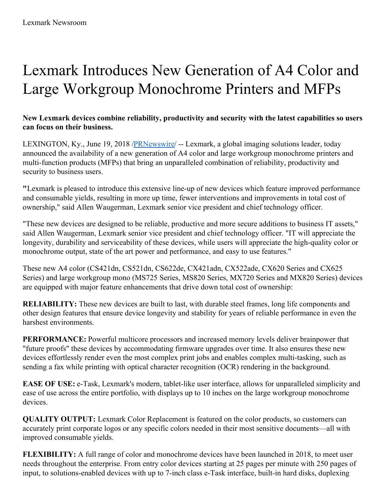## Lexmark Introduces New Generation of A4 Color and Large Workgroup Monochrome Printers and MFPs

## **New Lexmark devices combine reliability, productivity and security with the latest capabilities so users can focus on their business.**

LEXINGTON, Ky., June 19, 2018 [/PRNewswire](http://www.prnewswire.com/)/ -- Lexmark, a global imaging solutions leader, today announced the availability of a new generation of A4 color and large workgroup monochrome printers and multi-function products (MFPs) that bring an unparalleled combination of reliability, productivity and security to business users.

**"**Lexmark is pleased to introduce this extensive line-up of new devices which feature improved performance and consumable yields, resulting in more up time, fewer interventions and improvements in total cost of ownership," said Allen Waugerman, Lexmark senior vice president and chief technology officer.

"These new devices are designed to be reliable, productive and more secure additions to business IT assets," said Allen Waugerman, Lexmark senior vice president and chief technology officer. "IT will appreciate the longevity, durability and serviceability of these devices, while users will appreciate the high-quality color or monochrome output, state of the art power and performance, and easy to use features."

These new A4 color (CS421dn, CS521dn, CS622de, CX421adn, CX522ade, CX620 Series and CX625 Series) and large workgroup mono (MS725 Series, MS820 Series, MX720 Series and MX820 Series) devices are equipped with major feature enhancements that drive down total cost of ownership:

**RELIABILITY:** These new devices are built to last, with durable steel frames, long life components and other design features that ensure device longevity and stability for years of reliable performance in even the harshest environments.

**PERFORMANCE:** Powerful multicore processors and increased memory levels deliver brainpower that "future proofs" these devices by accommodating firmware upgrades over time. It also ensures these new devices effortlessly render even the most complex print jobs and enables complex multi-tasking, such as sending a fax while printing with optical character recognition (OCR) rendering in the background.

**EASE OF USE:** e-Task, Lexmark's modern, tablet-like user interface, allows for unparalleled simplicity and ease of use across the entire portfolio, with displays up to 10 inches on the large workgroup monochrome devices.

**QUALITY OUTPUT:** Lexmark Color Replacement is featured on the color products, so customers can accurately print corporate logos or any specific colors needed in their most sensitive documents—all with improved consumable yields.

**FLEXIBILITY:** A full range of color and monochrome devices have been launched in 2018, to meet user needs throughout the enterprise. From entry color devices starting at 25 pages per minute with 250 pages of input, to solutions-enabled devices with up to 7-inch class e-Task interface, built-in hard disks, duplexing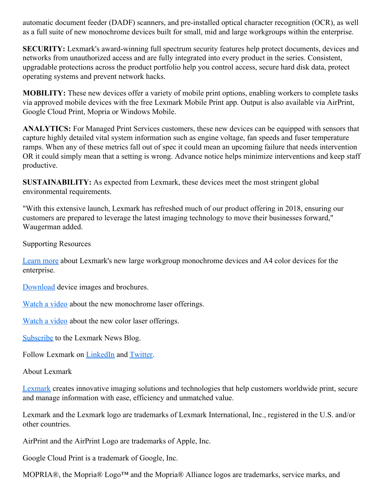automatic document feeder (DADF) scanners, and pre-installed optical character recognition (OCR), as well as a full suite of new monochrome devices built for small, mid and large workgroups within the enterprise.

**SECURITY:** Lexmark's award-winning full spectrum security features help protect documents, devices and networks from unauthorized access and are fully integrated into every product in the series. Consistent, upgradable protections across the product portfolio help you control access, secure hard disk data, protect operating systems and prevent network hacks.

**MOBILITY:** These new devices offer a variety of mobile print options, enabling workers to complete tasks via approved mobile devices with the free Lexmark Mobile Print app. Output is also available via AirPrint, Google Cloud Print, Mopria or Windows Mobile.

**ANALYTICS:** For Managed Print Services customers, these new devices can be equipped with sensors that capture highly detailed vital system information such as engine voltage, fan speeds and fuser temperature ramps. When any of these metrics fall out of spec it could mean an upcoming failure that needs intervention OR it could simply mean that a setting is wrong. Advance notice helps minimize interventions and keep staff productive.

**SUSTAINABILITY:** As expected from Lexmark, these devices meet the most stringent global environmental requirements.

"With this extensive launch, Lexmark has refreshed much of our product offering in 2018, ensuring our customers are prepared to leverage the latest imaging technology to move their businesses forward," Waugerman added.

Supporting Resources

[Learn](https://www.lexmark.com/en_us/products/hardware/new-2018-printers-mfps.html) more about Lexmark's new large workgroup monochrome devices and A4 color devices for the enterprise.

[Download](https://c212.net/c/link/?t=0&l=en&o=2166916-1&h=2329590659&u=http%3A%2F%2Fnewsroom.lexmark.com%2FJune-2018&a=Download) device images and brochures.

[Watch](https://c212.net/c/link/?t=0&l=en&o=2166916-1&h=212961399&u=https%3A%2F%2Fyoutu.be%2F9BfsOnZ3Hpw&a=Watch+a+video) a video about the new monochrome laser offerings.

[Watch](https://c212.net/c/link/?t=0&l=en&o=2166916-1&h=4098053263&u=https%3A%2F%2Fyoutu.be%2FcEMvDcHretA&a=Watch+a+video) a video about the new color laser offerings.

[Subscribe](https://c212.net/c/link/?t=0&l=en&o=2166916-1&h=2868318351&u=http%3A%2F%2Fwww.lexmarknewsblog.com%2F&a=Subscribe) to the Lexmark News Blog.

Follow Lexmark on [LinkedIn](https://c212.net/c/link/?t=0&l=en&o=2166916-1&h=3227405848&u=https%3A%2F%2Fwww.linkedin.com%2Fcompany%2F2980%2F&a=LinkedIn) and [Twitter](https://c212.net/c/link/?t=0&l=en&o=2166916-1&h=3521977002&u=https%3A%2F%2Ftwitter.com%2Flexmark&a=Twitter).

## About Lexmark

[Lexmark](https://c212.net/c/link/?t=0&l=en&o=2166916-1&h=517849542&u=http%3A%2F%2Fwww.lexmark.com%2F&a=Lexmark) creates innovative imaging solutions and technologies that help customers worldwide print, secure and manage information with ease, efficiency and unmatched value.

Lexmark and the Lexmark logo are trademarks of Lexmark International, Inc., registered in the U.S. and/or other countries.

AirPrint and the AirPrint Logo are trademarks of Apple, Inc.

Google Cloud Print is a trademark of Google, Inc.

MOPRIA®, the Mopria® Logo™ and the Mopria® Alliance logos are trademarks, service marks, and